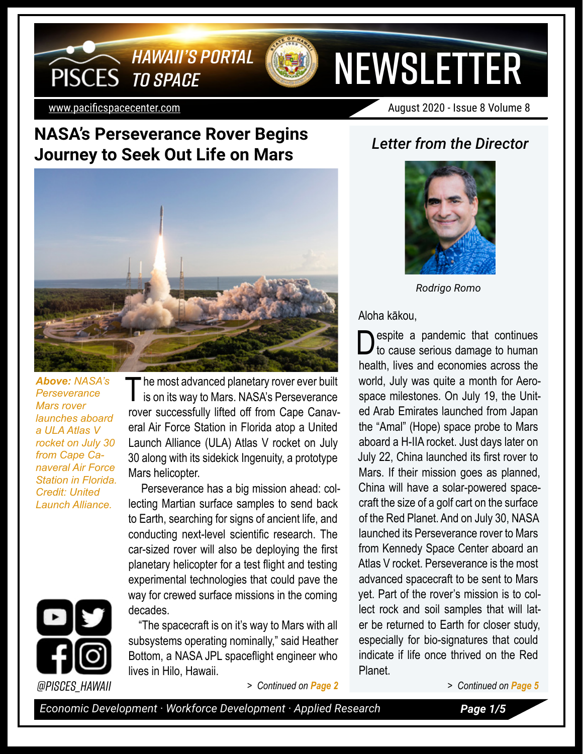

[www.pacificspacecenter.com](http://www.pacificspacecenter.com) August 2020 - Issue 8 Volume 8

**NEWSLETTER** 

### **NASA's Perseverance Rover Begins Journey to Seek Out Life on Mars** *Letter from the Director*

*TO SPACE*

**PISCES** 

*HAWAII'S PORTAL* 



*Above: NASA's Perseverance Mars rover launches aboard a ULA Atlas V rocket on July 30 from Cape Canaveral Air Force Station in Florida. Credit: United Launch Alliance.* 

The most advanced planetary rover ever built<br>is on its way to Mars. NASA's Perseverance rover successfully lifted off from Cape Canaveral Air Force Station in Florida atop a United Launch Alliance (ULA) Atlas V rocket on July 30 along with its sidekick Ingenuity, a prototype Mars helicopter.

Perseverance has a big mission ahead: collecting Martian surface samples to send back to Earth, searching for signs of ancient life, and conducting next-level scientific research. The car-sized rover will also be deploying the first planetary helicopter for a test flight and testing experimental technologies that could pave the way for crewed surface missions in the coming decades.

"The spacecraft is on it's way to Mars with all subsystems operating nominally," said Heather Bottom, a NASA JPL spaceflight engineer who lives in Hilo, Hawaii.



*Rodrigo Romo*

Aloha kākou,

**O** espite a pandemic that continues to cause serious damage to human health, lives and economies across the world, July was quite a month for Aerospace milestones. On July 19, the United Arab Emirates launched from Japan the "Amal" (Hope) space probe to Mars aboard a H-IIA rocket. Just days later on July 22, China launched its first rover to Mars. If their mission goes as planned, China will have a solar-powered spacecraft the size of a golf cart on the surface of the Red Planet. And on July 30, NASA launched its Perseverance rover to Mars from Kennedy Space Center aboard an Atlas V rocket. Perseverance is the most advanced spacecraft to be sent to Mars yet. Part of the rover's mission is to collect rock and soil samples that will later be returned to Earth for closer study, especially for bio-signatures that could indicate if life once thrived on the Red Planet.



*@PISCES\_Hawaii > Continued on Page 2 > Continued on Page 5*

*Economic Development · Workforce Development · Applied Research Page 1/5*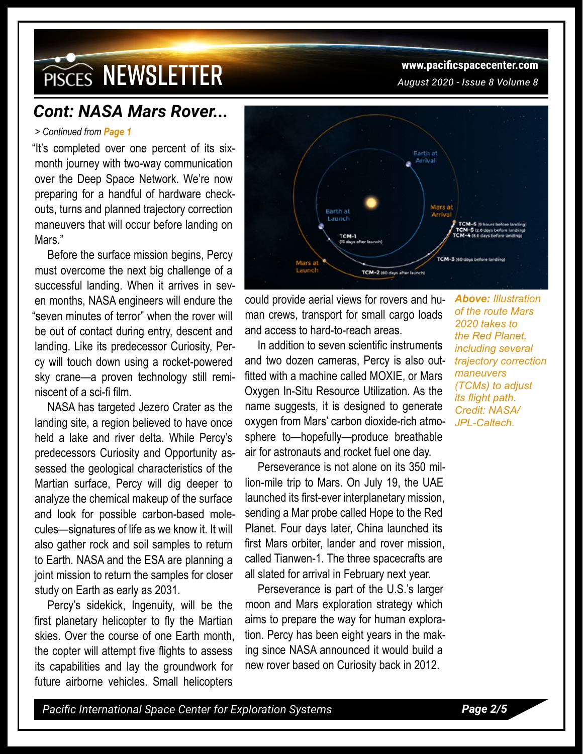## **PISCES NEWSLETTER** WWW.pacificspacecenter.com

### *Cont: NASA Mars Rover...*

#### *> Continued from Page 1*

"It's completed over one percent of its sixmonth journey with two-way communication over the Deep Space Network. We're now preparing for a handful of hardware checkouts, turns and planned trajectory correction maneuvers that will occur before landing on Mars."

Before the surface mission begins, Percy must overcome the next big challenge of a successful landing. When it arrives in seven months, NASA engineers will endure the "seven minutes of terror" when the rover will be out of contact during entry, descent and landing. Like its predecessor Curiosity, Percy will touch down using a rocket-powered sky crane—a proven technology still reminiscent of a sci-fi film.

NASA has targeted Jezero Crater as the landing site, a region believed to have once held a lake and river delta. While Percy's predecessors Curiosity and Opportunity assessed the geological characteristics of the Martian surface, Percy will dig deeper to analyze the chemical makeup of the surface and look for possible carbon-based molecules—signatures of life as we know it. It will also gather rock and soil samples to return to Earth. NASA and the ESA are planning a joint mission to return the samples for closer study on Earth as early as 2031.

Percy's sidekick, Ingenuity, will be the first planetary helicopter to fly the Martian skies. Over the course of one Earth month, the copter will attempt five flights to assess its capabilities and lay the groundwork for future airborne vehicles. Small helicopters



could provide aerial views for rovers and human crews, transport for small cargo loads and access to hard-to-reach areas.

In addition to seven scientific instruments and two dozen cameras, Percy is also outfitted with a machine called MOXIE, or Mars Oxygen In-Situ Resource Utilization. As the name suggests, it is designed to generate oxygen from Mars' carbon dioxide-rich atmosphere to—hopefully—produce breathable air for astronauts and rocket fuel one day.

Perseverance is not alone on its 350 million-mile trip to Mars. On July 19, the UAE launched its first-ever interplanetary mission, sending a Mar probe called Hope to the Red Planet. Four days later, China launched its first Mars orbiter, lander and rover mission, called Tianwen-1. The three spacecrafts are all slated for arrival in February next year.

Perseverance is part of the U.S.'s larger moon and Mars exploration strategy which aims to prepare the way for human exploration. Percy has been eight years in the making since NASA announced it would build a new rover based on Curiosity back in 2012.

*Above: Illustration of the route Mars 2020 takes to the Red Planet, including several trajectory correction maneuvers (TCMs) to adjust its flight path. Credit: NASA/ JPL-Caltech.*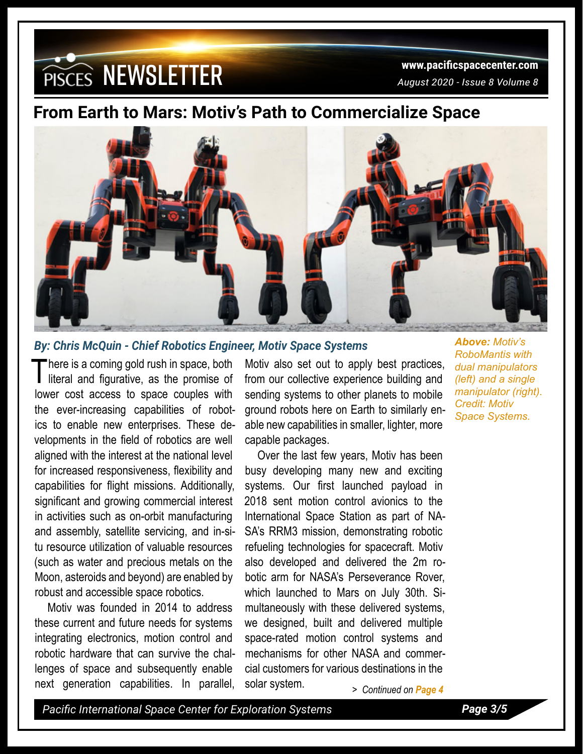# **WWW.pacificspacecenter.com**<br>PISCES NEWSLETTER *August 2020 - Issue 8 Volume 8*

## **From Earth to Mars: Motiv's Path to Commercialize Space**



#### *By: Chris McQuin - Chief Robotics Engineer, Motiv Space Systems*

There is a coming gold rush in space, both<br>literal and figurative, as the promise of lower cost access to space couples with the ever-increasing capabilities of robotics to enable new enterprises. These developments in the field of robotics are well aligned with the interest at the national level for increased responsiveness, flexibility and capabilities for flight missions. Additionally, significant and growing commercial interest in activities such as on-orbit manufacturing and assembly, satellite servicing, and in-situ resource utilization of valuable resources (such as water and precious metals on the Moon, asteroids and beyond) are enabled by robust and accessible space robotics.

Motiv was founded in 2014 to address these current and future needs for systems integrating electronics, motion control and robotic hardware that can survive the challenges of space and subsequently enable next generation capabilities. In parallel,

Motiv also set out to apply best practices, from our collective experience building and sending systems to other planets to mobile ground robots here on Earth to similarly enable new capabilities in smaller, lighter, more capable packages.

Over the last few years, Motiv has been busy developing many new and exciting systems. Our first launched payload in 2018 sent motion control avionics to the International Space Station as part of NA-SA's RRM3 mission, demonstrating robotic refueling technologies for spacecraft. Motiv also developed and delivered the 2m robotic arm for NASA's Perseverance Rover, which launched to Mars on July 30th. Simultaneously with these delivered systems, we designed, built and delivered multiple space-rated motion control systems and mechanisms for other NASA and commercial customers for various destinations in the solar system. *> Continued on Page 4*

*Above: Motiv's RoboMantis with dual manipulators (left) and a single manipulator (right). Credit: Motiv Space Systems.* 

*Pacific International Space Center for Exploration Systems Page 3/5*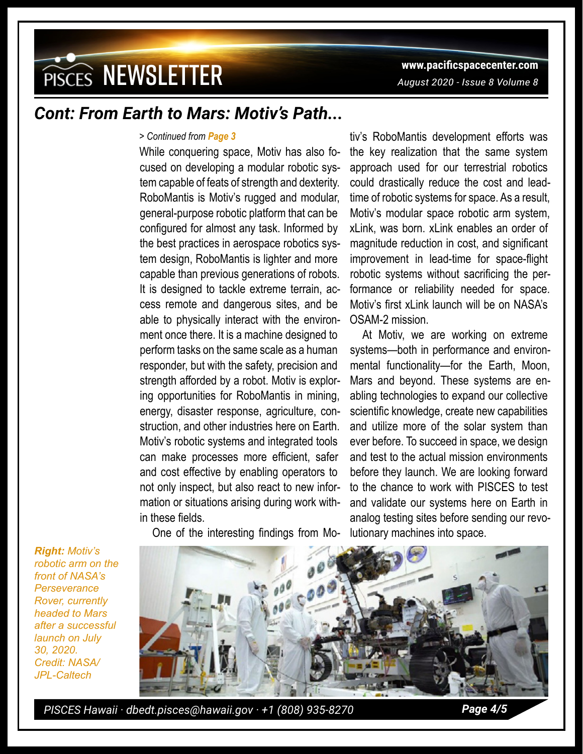## **WISCES NEWSLETTER** WWW.pacificspacecenter.com

## *Cont: From Earth to Mars: Motiv's Path...*

#### *> Continued from Page 3*

While conquering space, Motiv has also focused on developing a modular robotic system capable of feats of strength and dexterity. RoboMantis is Motiv's rugged and modular, general-purpose robotic platform that can be configured for almost any task. Informed by the best practices in aerospace robotics system design, RoboMantis is lighter and more capable than previous generations of robots. It is designed to tackle extreme terrain, access remote and dangerous sites, and be able to physically interact with the environment once there. It is a machine designed to perform tasks on the same scale as a human responder, but with the safety, precision and strength afforded by a robot. Motiv is exploring opportunities for RoboMantis in mining, energy, disaster response, agriculture, construction, and other industries here on Earth. Motiv's robotic systems and integrated tools can make processes more efficient, safer and cost effective by enabling operators to not only inspect, but also react to new information or situations arising during work within these fields.

One of the interesting findings from Mo-

tiv's RoboMantis development efforts was the key realization that the same system approach used for our terrestrial robotics could drastically reduce the cost and leadtime of robotic systems for space. As a result, Motiv's modular space robotic arm system, xLink, was born. xLink enables an order of magnitude reduction in cost, and significant improvement in lead-time for space-flight robotic systems without sacrificing the performance or reliability needed for space. Motiv's first xLink launch will be on NASA's OSAM-2 mission.

At Motiv, we are working on extreme systems—both in performance and environmental functionality—for the Earth, Moon, Mars and beyond. These systems are enabling technologies to expand our collective scientific knowledge, create new capabilities and utilize more of the solar system than ever before. To succeed in space, we design and test to the actual mission environments before they launch. We are looking forward to the chance to work with PISCES to test and validate our systems here on Earth in analog testing sites before sending our revolutionary machines into space.

*Right: Motiv's robotic arm on the front of NASA's Perseverance Rover, currently headed to Mars after a successful launch on July 30, 2020. Credit: NASA/ JPL-Caltech*



*PISCES Hawaii · dbedt.pisces@hawaii.gov · +1 (808) 935-8270 Page 4/5*